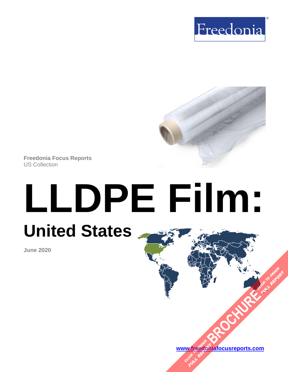



**Freedonia Focus Reports** US Collection

# **LLDPE Film: United States**

**June 2020**

**[www.freedoniafocusreports.com](https://www.freedoniafocusreports.com/redirect.asp?progid=89534&url=/) [BROCHURE](https://www.freedoniafocusreports.com/LLDPE-Film-United-States-FF30053/?progid=89541) PORTING TO ORDER** W.freegon

**FULL REPORT**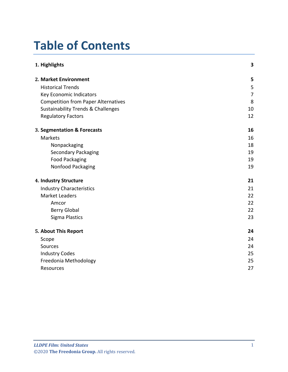# **Table of Contents**

| 1. Highlights                                 | 3  |
|-----------------------------------------------|----|
| 2. Market Environment                         | 5  |
| <b>Historical Trends</b>                      | 5  |
| Key Economic Indicators                       | 7  |
| <b>Competition from Paper Alternatives</b>    | 8  |
| <b>Sustainability Trends &amp; Challenges</b> | 10 |
| <b>Regulatory Factors</b>                     | 12 |
| 3. Segmentation & Forecasts                   | 16 |
| <b>Markets</b>                                | 16 |
| Nonpackaging                                  | 18 |
| <b>Secondary Packaging</b>                    | 19 |
| <b>Food Packaging</b>                         | 19 |
| Nonfood Packaging                             | 19 |
| 4. Industry Structure                         | 21 |
| <b>Industry Characteristics</b>               | 21 |
| <b>Market Leaders</b>                         | 22 |
| Amcor                                         | 22 |
| <b>Berry Global</b>                           | 22 |
| <b>Sigma Plastics</b>                         | 23 |
| 5. About This Report                          | 24 |
| Scope                                         | 24 |
| Sources                                       | 24 |
| <b>Industry Codes</b>                         | 25 |
| Freedonia Methodology                         | 25 |
| Resources                                     | 27 |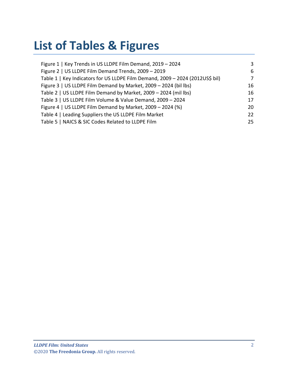# **List of Tables & Figures**

| Figure 1   Key Trends in US LLDPE Film Demand, 2019 - 2024                    | 3  |
|-------------------------------------------------------------------------------|----|
| Figure 2   US LLDPE Film Demand Trends, 2009 - 2019                           | 6  |
| Table 1   Key Indicators for US LLDPE Film Demand, 2009 - 2024 (2012US\$ bil) | 7  |
| Figure 3   US LLDPE Film Demand by Market, 2009 - 2024 (bil lbs)              | 16 |
| Table 2   US LLDPE Film Demand by Market, 2009 - 2024 (mil lbs)               | 16 |
| Table 3   US LLDPE Film Volume & Value Demand, 2009 - 2024                    | 17 |
| Figure 4   US LLDPE Film Demand by Market, 2009 - 2024 (%)                    | 20 |
| Table 4   Leading Suppliers the US LLDPE Film Market                          | 22 |
| Table 5   NAICS & SIC Codes Related to LLDPE Film                             | 25 |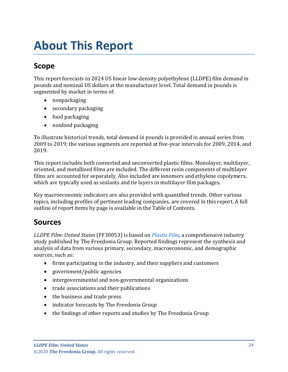# <span id="page-3-0"></span>**About This Report**

# <span id="page-3-1"></span>**Scope**

This report forecasts to 2024 US linear low-density polyethylene (LLDPE) film demand in pounds and nominal US dollars at the manufacturer level. Total demand in pounds is segmented by market in terms of:

- nonpackaging
- secondary packaging
- food packaging
- nonfood packaging

To illustrate historical trends, total demand in pounds is provided in annual series from 2009 to 2019; the various segments are reported at five-year intervals for 2009, 2014, and 2019.

This report includes both converted and unconverted plastic films. Monolayer, multilayer, oriented, and metallized films are included. The different resin components of multilayer films are accounted for separately. Also included are ionomers and ethylene copolymers, which are typically used as sealants and tie layers in multilayer film packages.

Key macroeconomic indicators are also provided with quantified trends. Other various topics, including profiles of pertinent leading companies, are covered in this report. A full outline of report items by page is available in the Table of Contents.

## <span id="page-3-2"></span>**Sources**

*LLDPE Film: United States* (FF30053) is based on *[Plastic Film,](http://www.freedoniagroup.com/DocumentDetails.aspx?ReferrerId=FL-FOCUS&studyid=3819)* a comprehensive industry study published by The Freedonia Group. Reported findings represent the synthesis and analysis of data from various primary, secondary, macroeconomic, and demographic sources, such as:

- firms participating in the industry, and their suppliers and customers
- government/public agencies
- intergovernmental and non-governmental organizations
- trade associations and their publications
- the business and trade press
- indicator forecasts by The Freedonia Group
- the findings of other reports and studies by The Freedonia Group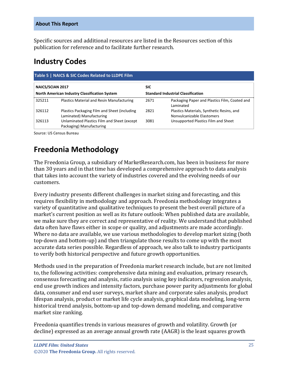Specific sources and additional resources are listed in the Resources section of this publication for reference and to facilitate further research.

## <span id="page-4-0"></span>**Industry Codes**

<span id="page-4-2"></span>

| Table 5   NAICS & SIC Codes Related to LLDPE Film |                                                                                                   |            |                                                                         |  |
|---------------------------------------------------|---------------------------------------------------------------------------------------------------|------------|-------------------------------------------------------------------------|--|
| <b>NAICS/SCIAN 2017</b>                           |                                                                                                   | <b>SIC</b> |                                                                         |  |
|                                                   | <b>North American Industry Classification System</b><br><b>Standard Industrial Classification</b> |            |                                                                         |  |
| 325211                                            | Plastics Material and Resin Manufacturing                                                         | 2671       | Packaging Paper and Plastics Film, Coated and<br>Laminated              |  |
| 326112                                            | Plastics Packaging Film and Sheet (including<br>Laminated) Manufacturing                          | 2821       | Plastics Materials, Synthetic Resins, and<br>Nonvulcanizable Elastomers |  |
| 326113                                            | Unlaminated Plastics Film and Sheet (except<br>Packaging) Manufacturing                           | 3081       | Unsupported Plastics Film and Sheet                                     |  |

Source: US Census Bureau

# <span id="page-4-1"></span>**Freedonia Methodology**

The Freedonia Group, a subsidiary of MarketResearch.com, has been in business for more than 30 years and in that time has developed a comprehensive approach to data analysis that takes into account the variety of industries covered and the evolving needs of our customers.

Every industry presents different challenges in market sizing and forecasting, and this requires flexibility in methodology and approach. Freedonia methodology integrates a variety of quantitative and qualitative techniques to present the best overall picture of a market's current position as well as its future outlook: When published data are available, we make sure they are correct and representative of reality. We understand that published data often have flaws either in scope or quality, and adjustments are made accordingly. Where no data are available, we use various methodologies to develop market sizing (both top-down and bottom-up) and then triangulate those results to come up with the most accurate data series possible. Regardless of approach, we also talk to industry participants to verify both historical perspective and future growth opportunities.

Methods used in the preparation of Freedonia market research include, but are not limited to, the following activities: comprehensive data mining and evaluation, primary research, consensus forecasting and analysis, ratio analysis using key indicators, regression analysis, end use growth indices and intensity factors, purchase power parity adjustments for global data, consumer and end user surveys, market share and corporate sales analysis, product lifespan analysis, product or market life cycle analysis, graphical data modeling, long-term historical trend analysis, bottom-up and top-down demand modeling, and comparative market size ranking.

Freedonia quantifies trends in various measures of growth and volatility. Growth (or decline) expressed as an average annual growth rate (AAGR) is the least squares growth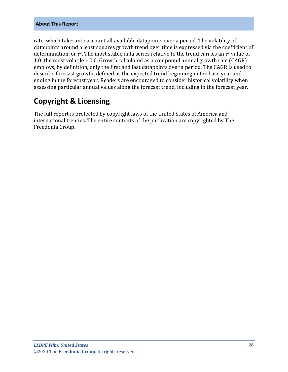#### **About This Report**

rate, which takes into account all available datapoints over a period. The volatility of datapoints around a least squares growth trend over time is expressed via the coefficient of determination, or r<sup>2</sup>. The most stable data series relative to the trend carries an r<sup>2</sup> value of 1.0; the most volatile – 0.0. Growth calculated as a compound annual growth rate (CAGR) employs, by definition, only the first and last datapoints over a period. The CAGR is used to describe forecast growth, defined as the expected trend beginning in the base year and ending in the forecast year. Readers are encouraged to consider historical volatility when assessing particular annual values along the forecast trend, including in the forecast year.

## **Copyright & Licensing**

The full report is protected by copyright laws of the United States of America and international treaties. The entire contents of the publication are copyrighted by The Freedonia Group.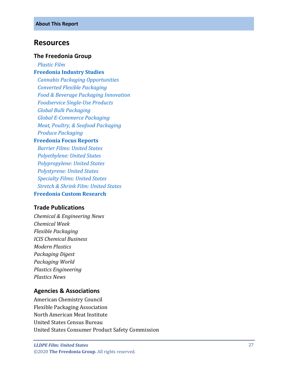#### <span id="page-6-0"></span>**Resources**

#### **The Freedonia Group**

 *[Plastic Film](http://www.freedoniagroup.com/DocumentDetails.aspx?ReferrerId=FL-FOCUS&studyid=3819)* **[Freedonia Industry Studies](http://www.freedoniagroup.com/Home.aspx?ReferrerId=FL-Focus)**  *[Cannabis Packaging Opportunities](http://www.freedoniagroup.com/DocumentDetails.aspx?ReferrerId=FL-FOCUS&studyid=3773) [Converted Flexible Packaging](http://www.freedoniagroup.com/DocumentDetails.aspx?ReferrerId=FL-FOCUS&studyid=3731) [Food & Beverage Packaging Innovation](http://www.freedoniagroup.com/DocumentDetails.aspx?ReferrerId=FL-FOCUS&studyid=3736) [Foodservice Single-Use Products](http://www.freedoniagroup.com/DocumentDetails.aspx?ReferrerId=FL-FOCUS&studyid=3774) [Global Bulk Packaging](http://www.freedoniagroup.com/DocumentDetails.aspx?ReferrerId=FL-FOCUS&studyid=3612) [Global E-Commerce Packaging](http://www.freedoniagroup.com/DocumentDetails.aspx?ReferrerId=FL-FOCUS&studyid=3744) [Meat, Poultry, & Seafood Packaging](http://www.freedoniagroup.com/DocumentDetails.aspx?ReferrerId=FL-FOCUS&studyid=3787) [Produce Packaging](http://www.freedoniagroup.com/DocumentDetails.aspx?ReferrerId=FL-FOCUS&studyid=3632)* **[Freedonia Focus Reports](https://www.freedoniafocusreports.com/redirect.asp?progid=89534&url=/)**  *[Barrier Films: United States](https://www.freedoniafocusreports.com/Barrier-Films-United-States-FF55055/?progid=89534) [Polyethylene: United States](https://www.freedoniafocusreports.com/Polyethylene-United-States-FF55017/?progid=89534) [Polypropylene: United States](https://www.freedoniafocusreports.com/Polypropylene-United-States-FF55018/?progid=89534) [Polystyrene: United States](https://www.freedoniafocusreports.com/Polystyrene-United-States-FF55043/?progid=89534) [Specialty Films: United States](https://www.freedoniafocusreports.com/Specialty-Films-United-States-FF55048/?progid=89534) [Stretch & Shrink Film: United States](https://www.freedoniafocusreports.com/Stretch-Shrink-Film-United-States-FF55026/?progid=89534)*

#### **Freedonia [Custom Research](http://www.freedoniagroup.com/CustomResearch.aspx?ReferrerId=FL-Focus)**

#### **Trade Publications**

*Chemical & Engineering News Chemical Week Flexible Packaging ICIS Chemical Business Modern Plastics Packaging Digest Packaging World Plastics Engineering Plastics News*

#### **Agencies & Associations**

American Chemistry Council Flexible Packaging Association North American Meat Institute United States Census Bureau United States Consumer Product Safety Commission